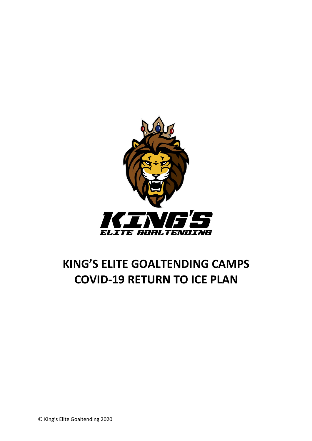

# **KING'S ELITE GOALTENDING CAMPS COVID-19 RETURN TO ICE PLAN**

© King's Elite Goaltending 2020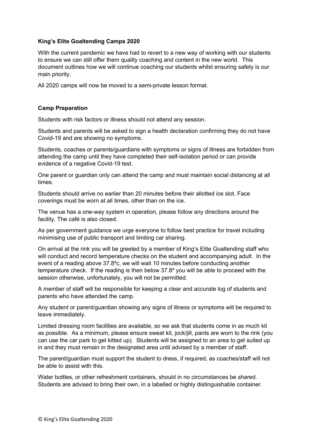# **King's Elite Goaltending Camps 2020**

With the current pandemic we have had to revert to a new way of working with our students to ensure we can still offer them quality coaching and content in the new world. This document outlines how we will continue coaching our students whilst ensuring safety is our main priority.

All 2020 camps will now be moved to a semi-private lesson format.

## **Camp Preparation**

Students with risk factors or illness should not attend any session.

Students and parents will be asked to sign a health declaration confirming they do not have Covid-19 and are showing no symptoms.

Students, coaches or parents/guardians with symptoms or signs of illness are forbidden from attending the camp until they have completed their self-isolation period or can provide evidence of a negative Covid-19 test.

One parent or guardian only can attend the camp and must maintain social distancing at all times.

Students should arrive no earlier than 20 minutes before their allotted ice slot. Face coverings must be worn at all times, other than on the ice.

The venue has a one-way system in operation, please follow any directions around the facility. The café is also closed.

As per government guidance we urge everyone to follow best practice for travel including minimising use of public transport and limiting car sharing.

On arrival at the rink you will be greeted by a member of King's Elite Goaltending staff who will conduct and record temperature checks on the student and accompanying adult. In the event of a reading above 37.8ºc, we will wait 10 minutes before conducting another temperature check. If the reading is then below 37.8º you will be able to proceed with the session otherwise, unfortunately, you will not be permitted.

A member of staff will be responsible for keeping a clear and accurate log of students and parents who have attended the camp.

Any student or parent/guardian showing any signs of illness or symptoms will be required to leave immediately.

Limited dressing room facilities are available, so we ask that students come in as much kit as possible. As a minimum, please ensure sweat kit, jock/jill, pants are worn to the rink (you can use the car park to get kitted up). Students will be assigned to an area to get suited up in and they must remain in the designated area until advised by a member of staff.

The parent/guardian must support the student to dress, if required, as coaches/staff will not be able to assist with this.

Water bottles, or other refreshment containers, should in no circumstances be shared. Students are advised to bring their own, in a labelled or highly distinguishable container.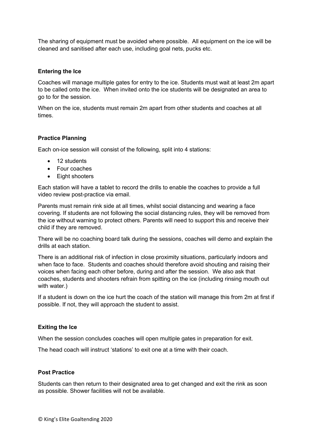The sharing of equipment must be avoided where possible. All equipment on the ice will be cleaned and sanitised after each use, including goal nets, pucks etc.

#### **Entering the Ice**

Coaches will manage multiple gates for entry to the ice. Students must wait at least 2m apart to be called onto the ice. When invited onto the ice students will be designated an area to go to for the session.

When on the ice, students must remain 2m apart from other students and coaches at all times.

## **Practice Planning**

Each on-ice session will consist of the following, split into 4 stations:

- 12 students
- Four coaches
- Eight shooters

Each station will have a tablet to record the drills to enable the coaches to provide a full video review post-practice via email.

Parents must remain rink side at all times, whilst social distancing and wearing a face covering. If students are not following the social distancing rules, they will be removed from the ice without warning to protect others. Parents will need to support this and receive their child if they are removed.

There will be no coaching board talk during the sessions, coaches will demo and explain the drills at each station.

There is an additional risk of infection in close proximity situations, particularly indoors and when face to face. Students and coaches should therefore avoid shouting and raising their voices when facing each other before, during and after the session. We also ask that coaches, students and shooters refrain from spitting on the ice (including rinsing mouth out with water.)

If a student is down on the ice hurt the coach of the station will manage this from 2m at first if possible. If not, they will approach the student to assist.

#### **Exiting the Ice**

When the session concludes coaches will open multiple gates in preparation for exit.

The head coach will instruct 'stations' to exit one at a time with their coach.

#### **Post Practice**

Students can then return to their designated area to get changed and exit the rink as soon as possible. Shower facilities will not be available.